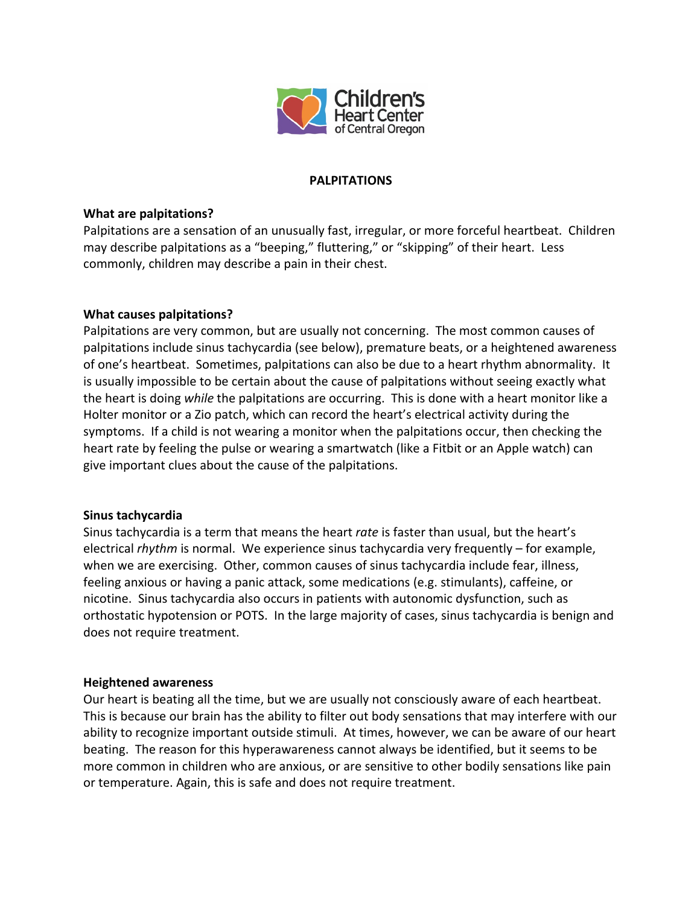

# **PALPITATIONS**

# **What are palpitations?**

Palpitations are a sensation of an unusually fast, irregular, or more forceful heartbeat. Children may describe palpitations as a "beeping," fluttering," or "skipping" of their heart. Less commonly, children may describe a pain in their chest.

## **What causes palpitations?**

Palpitations are very common, but are usually not concerning. The most common causes of palpitations include sinus tachycardia (see below), premature beats, or a heightened awareness of one's heartbeat. Sometimes, palpitations can also be due to a heart rhythm abnormality. It is usually impossible to be certain about the cause of palpitations without seeing exactly what the heart is doing *while* the palpitations are occurring. This is done with a heart monitor like a Holter monitor or a Zio patch, which can record the heart's electrical activity during the symptoms. If a child is not wearing a monitor when the palpitations occur, then checking the heart rate by feeling the pulse or wearing a smartwatch (like a Fitbit or an Apple watch) can give important clues about the cause of the palpitations.

#### **Sinus tachycardia**

Sinus tachycardia is a term that means the heart *rate* is faster than usual, but the heart's electrical *rhythm* is normal. We experience sinus tachycardia very frequently – for example, when we are exercising. Other, common causes of sinus tachycardia include fear, illness, feeling anxious or having a panic attack, some medications (e.g. stimulants), caffeine, or nicotine. Sinus tachycardia also occurs in patients with autonomic dysfunction, such as orthostatic hypotension or POTS. In the large majority of cases, sinus tachycardia is benign and does not require treatment.

#### **Heightened awareness**

Our heart is beating all the time, but we are usually not consciously aware of each heartbeat. This is because our brain has the ability to filter out body sensations that may interfere with our ability to recognize important outside stimuli. At times, however, we can be aware of our heart beating. The reason for this hyperawareness cannot always be identified, but it seems to be more common in children who are anxious, or are sensitive to other bodily sensations like pain or temperature. Again, this is safe and does not require treatment.